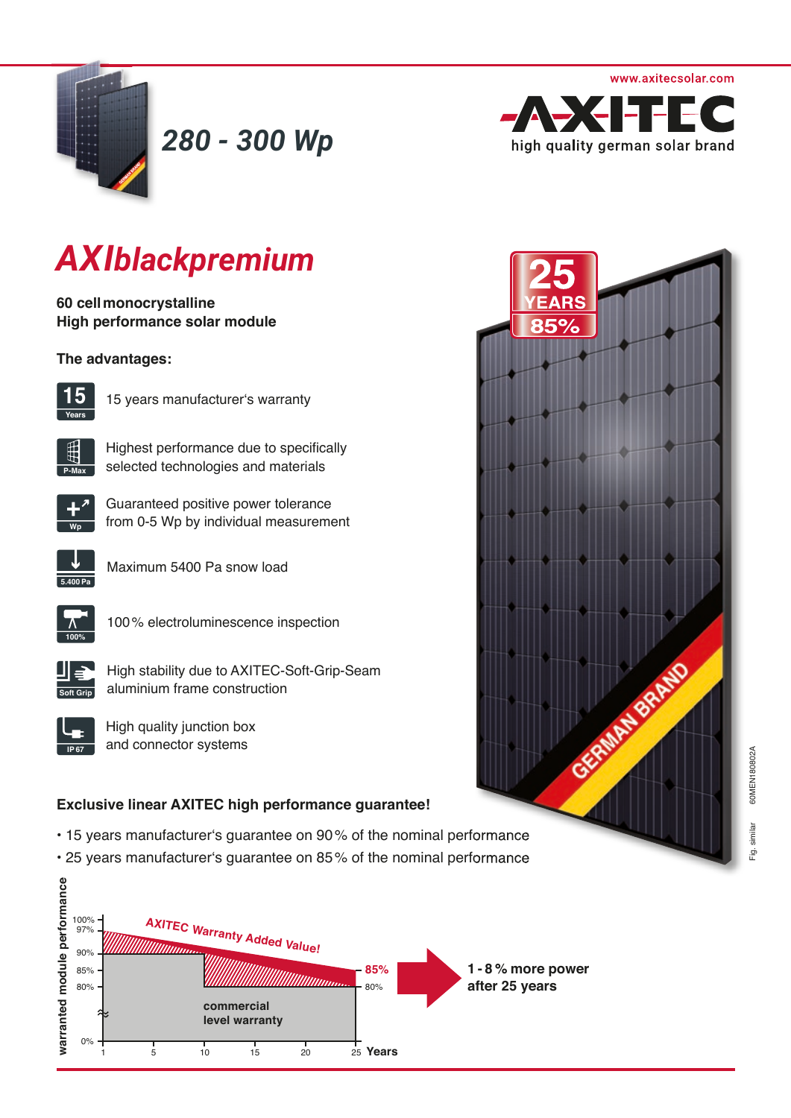



*280 - 300 Wp*



# *AXIblackpremium*

**60 cell monocrystalline High performance solar module** 

### **The advantages:**



15 years manufacturer's warranty



Highest performance due to specifically selected technologies and materials



Guaranteed positive power tolerance from 0-5 Wp by individual measurement



Maximum 5400 Pa snow load



100 % electroluminescence inspection



High stability due to AXITEC-Soft-Grip-Seam aluminium frame construction



High quality junction box and connector systems

### **Exclusive linear AXITEC high performance guarantee!**

- 15 years manufacturer's guarantee on 90 % of the nominal performance
- 25 years manufacturer's guarantee on 85 % of the nominal performance